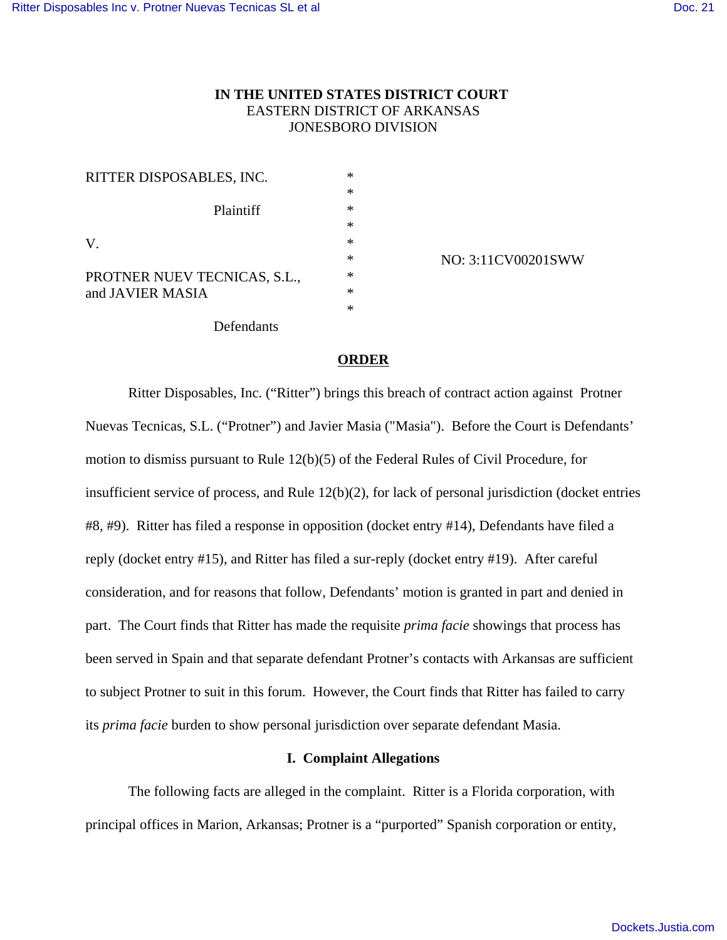# **IN THE UNITED STATES DISTRICT COURT**  EASTERN DISTRICT OF ARKANSAS JONESBORO DIVISION

| RITTER DISPOSABLES, INC.     | ∗      |
|------------------------------|--------|
|                              | $\ast$ |
| Plaintiff                    | $\ast$ |
|                              | $\ast$ |
| V.                           | $\ast$ |
|                              | $\ast$ |
| PROTNER NUEV TECNICAS, S.L., | $\ast$ |
| and JAVIER MASIA             | $\ast$ |
|                              | $\ast$ |
| Defendants                   |        |

NO: 3:11CV00201SWW

# **ORDER**

Ritter Disposables, Inc. ("Ritter") brings this breach of contract action against Protner Nuevas Tecnicas, S.L. ("Protner") and Javier Masia ("Masia"). Before the Court is Defendants' motion to dismiss pursuant to Rule 12(b)(5) of the Federal Rules of Civil Procedure, for insufficient service of process, and Rule 12(b)(2), for lack of personal jurisdiction (docket entries #8, #9). Ritter has filed a response in opposition (docket entry #14), Defendants have filed a reply (docket entry #15), and Ritter has filed a sur-reply (docket entry #19). After careful consideration, and for reasons that follow, Defendants' motion is granted in part and denied in part. The Court finds that Ritter has made the requisite *prima facie* showings that process has been served in Spain and that separate defendant Protner's contacts with Arkansas are sufficient to subject Protner to suit in this forum. However, the Court finds that Ritter has failed to carry its *prima facie* burden to show personal jurisdiction over separate defendant Masia.

# **I. Complaint Allegations**

The following facts are alleged in the complaint. Ritter is a Florida corporation, with principal offices in Marion, Arkansas; Protner is a "purported" Spanish corporation or entity,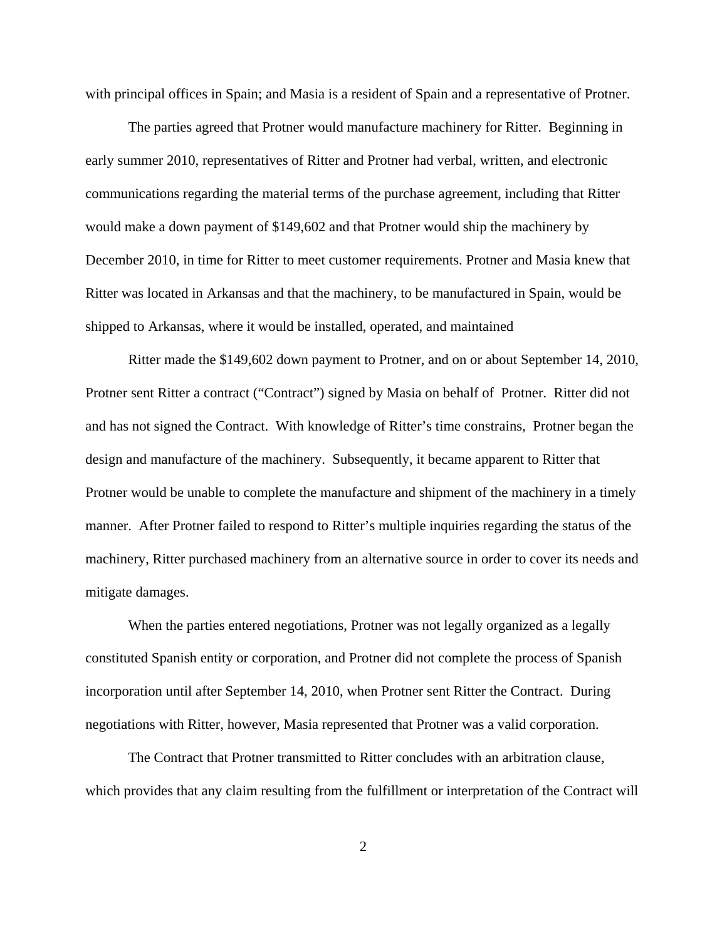with principal offices in Spain; and Masia is a resident of Spain and a representative of Protner.

The parties agreed that Protner would manufacture machinery for Ritter. Beginning in early summer 2010, representatives of Ritter and Protner had verbal, written, and electronic communications regarding the material terms of the purchase agreement, including that Ritter would make a down payment of \$149,602 and that Protner would ship the machinery by December 2010, in time for Ritter to meet customer requirements. Protner and Masia knew that Ritter was located in Arkansas and that the machinery, to be manufactured in Spain, would be shipped to Arkansas, where it would be installed, operated, and maintained

Ritter made the \$149,602 down payment to Protner, and on or about September 14, 2010, Protner sent Ritter a contract ("Contract") signed by Masia on behalf of Protner. Ritter did not and has not signed the Contract. With knowledge of Ritter's time constrains, Protner began the design and manufacture of the machinery. Subsequently, it became apparent to Ritter that Protner would be unable to complete the manufacture and shipment of the machinery in a timely manner. After Protner failed to respond to Ritter's multiple inquiries regarding the status of the machinery, Ritter purchased machinery from an alternative source in order to cover its needs and mitigate damages.

When the parties entered negotiations, Protner was not legally organized as a legally constituted Spanish entity or corporation, and Protner did not complete the process of Spanish incorporation until after September 14, 2010, when Protner sent Ritter the Contract. During negotiations with Ritter, however, Masia represented that Protner was a valid corporation.

The Contract that Protner transmitted to Ritter concludes with an arbitration clause, which provides that any claim resulting from the fulfillment or interpretation of the Contract will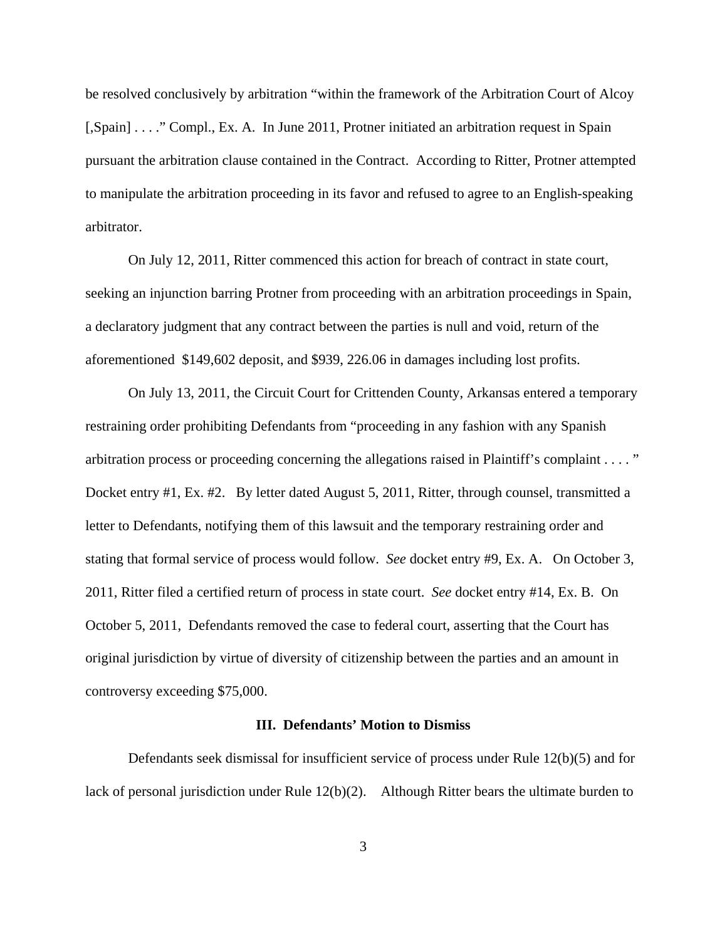be resolved conclusively by arbitration "within the framework of the Arbitration Court of Alcoy [,Spain] . . . ." Compl., Ex. A. In June 2011, Protner initiated an arbitration request in Spain pursuant the arbitration clause contained in the Contract. According to Ritter, Protner attempted to manipulate the arbitration proceeding in its favor and refused to agree to an English-speaking arbitrator.

On July 12, 2011, Ritter commenced this action for breach of contract in state court, seeking an injunction barring Protner from proceeding with an arbitration proceedings in Spain, a declaratory judgment that any contract between the parties is null and void, return of the aforementioned \$149,602 deposit, and \$939, 226.06 in damages including lost profits.

On July 13, 2011, the Circuit Court for Crittenden County, Arkansas entered a temporary restraining order prohibiting Defendants from "proceeding in any fashion with any Spanish arbitration process or proceeding concerning the allegations raised in Plaintiff's complaint . . . . " Docket entry #1, Ex. #2. By letter dated August 5, 2011, Ritter, through counsel, transmitted a letter to Defendants, notifying them of this lawsuit and the temporary restraining order and stating that formal service of process would follow. *See* docket entry #9, Ex. A. On October 3, 2011, Ritter filed a certified return of process in state court. *See* docket entry #14, Ex. B. On October 5, 2011, Defendants removed the case to federal court, asserting that the Court has original jurisdiction by virtue of diversity of citizenship between the parties and an amount in controversy exceeding \$75,000.

# **III. Defendants' Motion to Dismiss**

Defendants seek dismissal for insufficient service of process under Rule 12(b)(5) and for lack of personal jurisdiction under Rule 12(b)(2). Although Ritter bears the ultimate burden to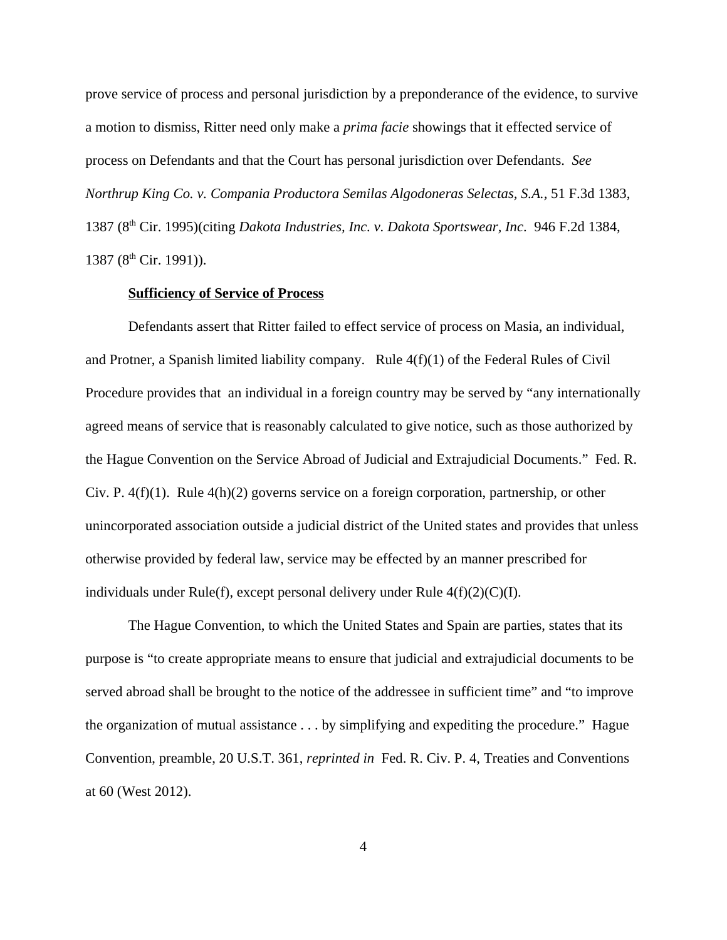prove service of process and personal jurisdiction by a preponderance of the evidence, to survive a motion to dismiss, Ritter need only make a *prima facie* showings that it effected service of process on Defendants and that the Court has personal jurisdiction over Defendants. *See Northrup King Co. v. Compania Productora Semilas Algodoneras Selectas, S.A.,* 51 F.3d 1383, 1387 (8th Cir. 1995)(citing *Dakota Industries, Inc. v. Dakota Sportswear, Inc*. 946 F.2d 1384, 1387 (8<sup>th</sup> Cir. 1991)).

### **Sufficiency of Service of Process**

 Defendants assert that Ritter failed to effect service of process on Masia, an individual, and Protner, a Spanish limited liability company. Rule  $4(f)(1)$  of the Federal Rules of Civil Procedure provides that an individual in a foreign country may be served by "any internationally agreed means of service that is reasonably calculated to give notice, such as those authorized by the Hague Convention on the Service Abroad of Judicial and Extrajudicial Documents." Fed. R. Civ. P.  $4(f)(1)$ . Rule  $4(h)(2)$  governs service on a foreign corporation, partnership, or other unincorporated association outside a judicial district of the United states and provides that unless otherwise provided by federal law, service may be effected by an manner prescribed for individuals under Rule(f), except personal delivery under Rule  $4(f)(2)(C)(I)$ .

The Hague Convention, to which the United States and Spain are parties, states that its purpose is "to create appropriate means to ensure that judicial and extrajudicial documents to be served abroad shall be brought to the notice of the addressee in sufficient time" and "to improve the organization of mutual assistance . . . by simplifying and expediting the procedure." Hague Convention, preamble, 20 U.S.T. 361, *reprinted in* Fed. R. Civ. P. 4, Treaties and Conventions at 60 (West 2012).

4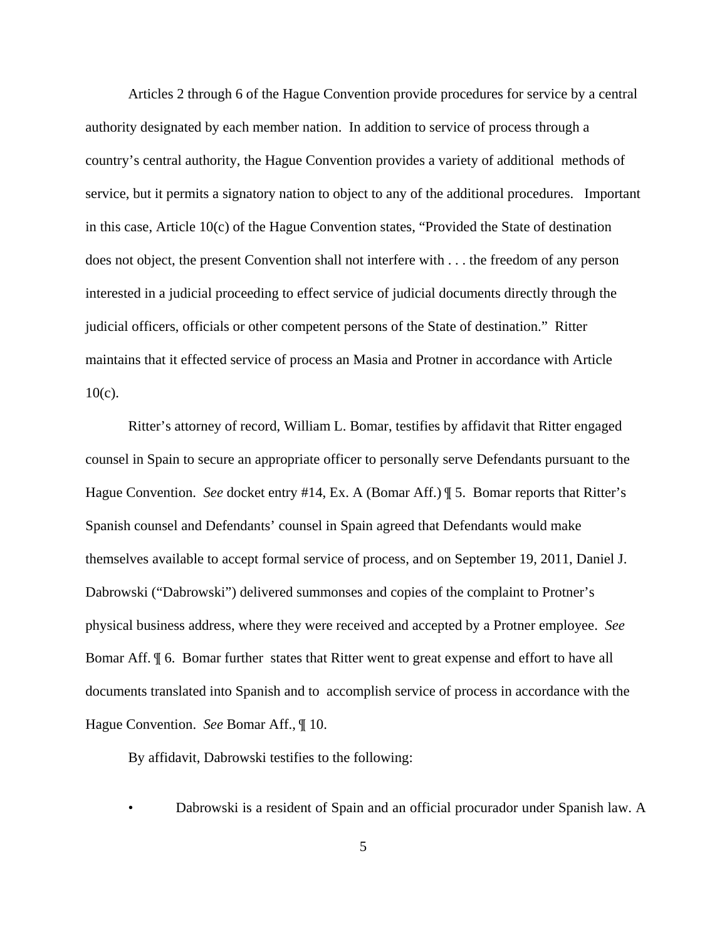Articles 2 through 6 of the Hague Convention provide procedures for service by a central authority designated by each member nation. In addition to service of process through a country's central authority, the Hague Convention provides a variety of additional methods of service, but it permits a signatory nation to object to any of the additional procedures. Important in this case, Article 10(c) of the Hague Convention states, "Provided the State of destination does not object, the present Convention shall not interfere with . . . the freedom of any person interested in a judicial proceeding to effect service of judicial documents directly through the judicial officers, officials or other competent persons of the State of destination." Ritter maintains that it effected service of process an Masia and Protner in accordance with Article  $10(c)$ .

Ritter's attorney of record, William L. Bomar, testifies by affidavit that Ritter engaged counsel in Spain to secure an appropriate officer to personally serve Defendants pursuant to the Hague Convention. *See* docket entry #14, Ex. A (Bomar Aff.) ¶ 5. Bomar reports that Ritter's Spanish counsel and Defendants' counsel in Spain agreed that Defendants would make themselves available to accept formal service of process, and on September 19, 2011, Daniel J. Dabrowski ("Dabrowski") delivered summonses and copies of the complaint to Protner's physical business address, where they were received and accepted by a Protner employee. *See* Bomar Aff. ¶ 6. Bomar further states that Ritter went to great expense and effort to have all documents translated into Spanish and to accomplish service of process in accordance with the Hague Convention. *See* Bomar Aff., ¶ 10.

By affidavit, Dabrowski testifies to the following:

<sup>•</sup> Dabrowski is a resident of Spain and an official procurador under Spanish law. A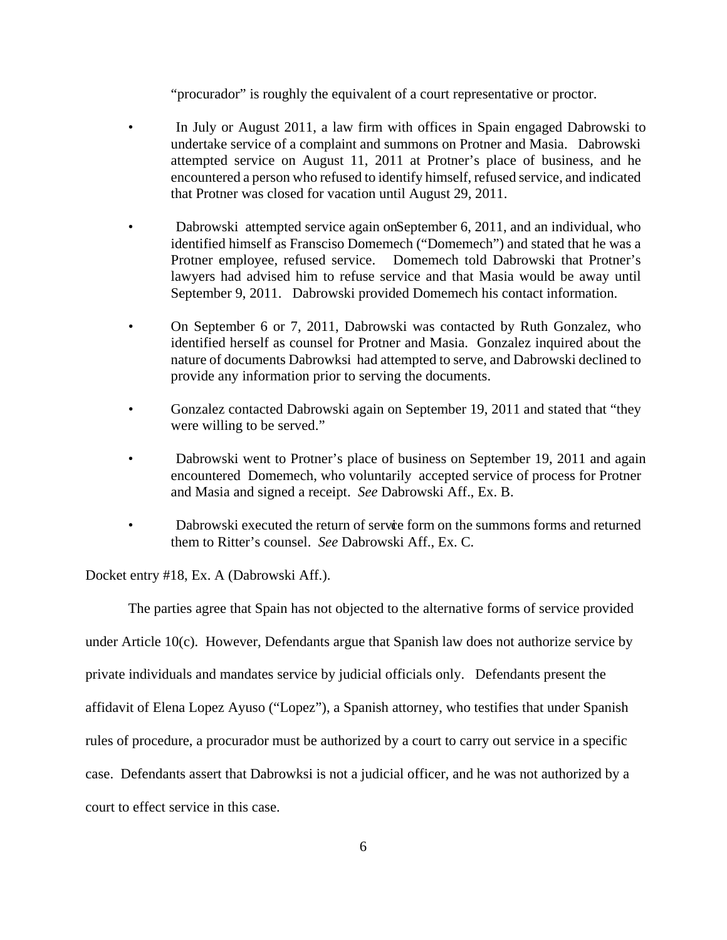"procurador" is roughly the equivalent of a court representative or proctor.

- In July or August 2011, a law firm with offices in Spain engaged Dabrowski to undertake service of a complaint and summons on Protner and Masia. Dabrowski attempted service on August 11, 2011 at Protner's place of business, and he encountered a person who refused to identify himself, refused service, and indicated that Protner was closed for vacation until August 29, 2011.
- Dabrowski attempted service again on September 6, 2011, and an individual, who identified himself as Fransciso Domemech ("Domemech") and stated that he was a Protner employee, refused service. Domemech told Dabrowski that Protner's lawyers had advised him to refuse service and that Masia would be away until September 9, 2011. Dabrowski provided Domemech his contact information.
- *•* On September 6 or 7, 2011, Dabrowski was contacted by Ruth Gonzalez, who identified herself as counsel for Protner and Masia. Gonzalez inquired about the nature of documents Dabrowksi had attempted to serve, and Dabrowski declined to provide any information prior to serving the documents.
- *•* Gonzalez contacted Dabrowski again on September 19, 2011 and stated that "they were willing to be served."
- Dabrowski went to Protner's place of business on September 19, 2011 and again encountered Domemech, who voluntarily accepted service of process for Protner and Masia and signed a receipt. *See* Dabrowski Aff., Ex. B.
- Dabrowski executed the return of service form on the summons forms and returned them to Ritter's counsel. *See* Dabrowski Aff., Ex. C.

Docket entry #18, Ex. A (Dabrowski Aff.).

The parties agree that Spain has not objected to the alternative forms of service provided under Article 10(c). However, Defendants argue that Spanish law does not authorize service by private individuals and mandates service by judicial officials only. Defendants present the affidavit of Elena Lopez Ayuso ("Lopez"), a Spanish attorney, who testifies that under Spanish rules of procedure, a procurador must be authorized by a court to carry out service in a specific case. Defendants assert that Dabrowksi is not a judicial officer, and he was not authorized by a court to effect service in this case.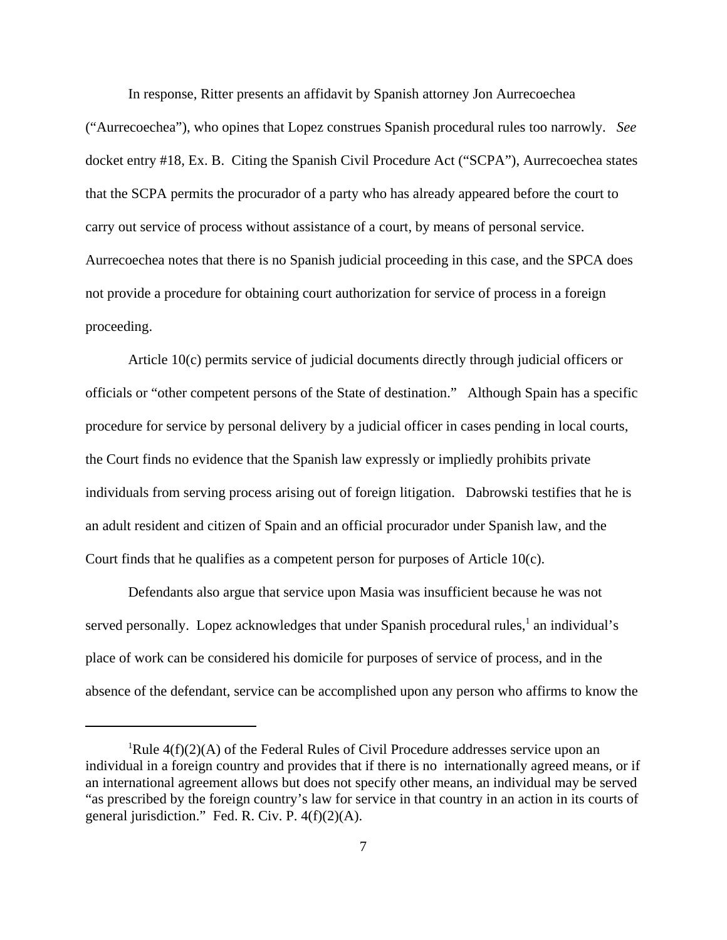In response, Ritter presents an affidavit by Spanish attorney Jon Aurrecoechea

("Aurrecoechea"), who opines that Lopez construes Spanish procedural rules too narrowly. *See* docket entry #18, Ex. B. Citing the Spanish Civil Procedure Act ("SCPA"), Aurrecoechea states that the SCPA permits the procurador of a party who has already appeared before the court to carry out service of process without assistance of a court, by means of personal service. Aurrecoechea notes that there is no Spanish judicial proceeding in this case, and the SPCA does not provide a procedure for obtaining court authorization for service of process in a foreign proceeding.

Article 10(c) permits service of judicial documents directly through judicial officers or officials or "other competent persons of the State of destination." Although Spain has a specific procedure for service by personal delivery by a judicial officer in cases pending in local courts, the Court finds no evidence that the Spanish law expressly or impliedly prohibits private individuals from serving process arising out of foreign litigation. Dabrowski testifies that he is an adult resident and citizen of Spain and an official procurador under Spanish law, and the Court finds that he qualifies as a competent person for purposes of Article 10(c).

Defendants also argue that service upon Masia was insufficient because he was not served personally. Lopez acknowledges that under Spanish procedural rules,<sup>1</sup> an individual's place of work can be considered his domicile for purposes of service of process, and in the absence of the defendant, service can be accomplished upon any person who affirms to know the

<sup>&</sup>lt;sup>1</sup>Rule  $4(f)(2)(A)$  of the Federal Rules of Civil Procedure addresses service upon an individual in a foreign country and provides that if there is no internationally agreed means, or if an international agreement allows but does not specify other means, an individual may be served "as prescribed by the foreign country's law for service in that country in an action in its courts of general jurisdiction." Fed. R. Civ. P.  $4(f)(2)(A)$ .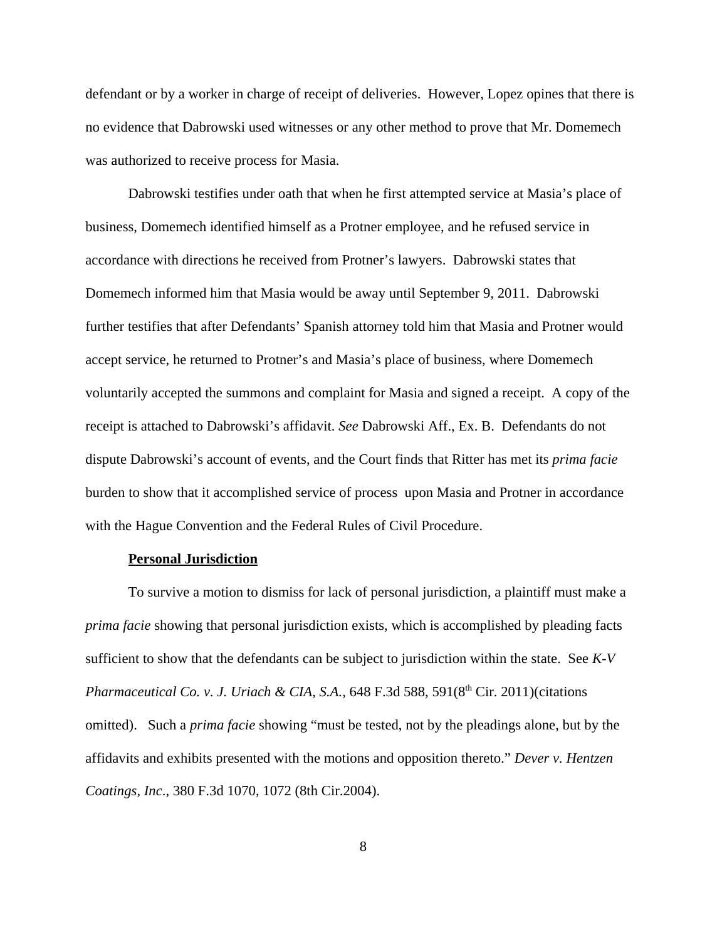defendant or by a worker in charge of receipt of deliveries. However, Lopez opines that there is no evidence that Dabrowski used witnesses or any other method to prove that Mr. Domemech was authorized to receive process for Masia.

Dabrowski testifies under oath that when he first attempted service at Masia's place of business, Domemech identified himself as a Protner employee, and he refused service in accordance with directions he received from Protner's lawyers. Dabrowski states that Domemech informed him that Masia would be away until September 9, 2011. Dabrowski further testifies that after Defendants' Spanish attorney told him that Masia and Protner would accept service, he returned to Protner's and Masia's place of business, where Domemech voluntarily accepted the summons and complaint for Masia and signed a receipt. A copy of the receipt is attached to Dabrowski's affidavit. *See* Dabrowski Aff., Ex. B. Defendants do not dispute Dabrowski's account of events, and the Court finds that Ritter has met its *prima facie* burden to show that it accomplished service of process upon Masia and Protner in accordance with the Hague Convention and the Federal Rules of Civil Procedure.

#### **Personal Jurisdiction**

To survive a motion to dismiss for lack of personal jurisdiction, a plaintiff must make a *prima facie* showing that personal jurisdiction exists, which is accomplished by pleading facts sufficient to show that the defendants can be subject to jurisdiction within the state. See *K-V Pharmaceutical Co. v. J. Uriach & CIA, S.A., 648 F.3d 588, 591(8<sup>th</sup> Cir. 2011)(citations* omitted). Such a *prima facie* showing "must be tested, not by the pleadings alone, but by the affidavits and exhibits presented with the motions and opposition thereto." *Dever v. Hentzen Coatings, Inc*., 380 F.3d 1070, 1072 (8th Cir.2004).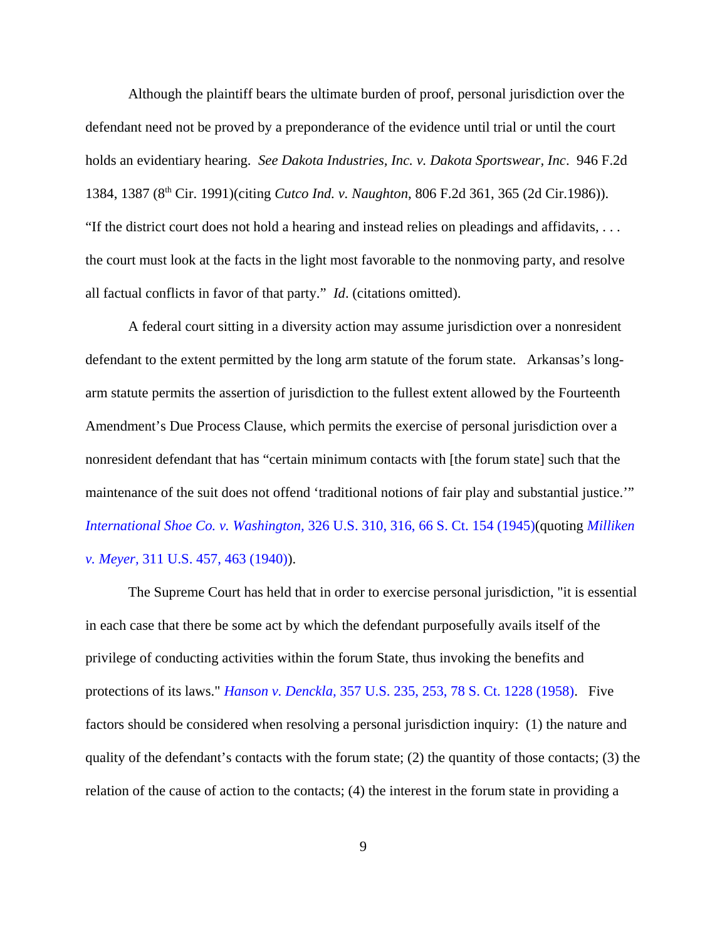Although the plaintiff bears the ultimate burden of proof, personal jurisdiction over the defendant need not be proved by a preponderance of the evidence until trial or until the court holds an evidentiary hearing. *See Dakota Industries, Inc. v. Dakota Sportswear, Inc*. 946 F.2d 1384, 1387 (8th Cir. 1991)(citing *Cutco Ind. v. Naughton*, 806 F.2d 361, 365 (2d Cir.1986)). "If the district court does not hold a hearing and instead relies on pleadings and affidavits, . . . the court must look at the facts in the light most favorable to the nonmoving party, and resolve all factual conflicts in favor of that party." *Id*. (citations omitted).

A federal court sitting in a diversity action may assume jurisdiction over a nonresident defendant to the extent permitted by the long arm statute of the forum state. Arkansas's longarm statute permits the assertion of jurisdiction to the fullest extent allowed by the Fourteenth Amendment's Due Process Clause, which permits the exercise of personal jurisdiction over a nonresident defendant that has "certain minimum contacts with [the forum state] such that the maintenance of the suit does not offend 'traditional notions of fair play and substantial justice.'" *International Shoe Co. v. Washington,* 326 U.S. 310, 316, 66 S. Ct. 154 (1945)(quoting *Milliken v. Meyer,* 311 U.S. 457, 463 (1940)).

The Supreme Court has held that in order to exercise personal jurisdiction, "it is essential in each case that there be some act by which the defendant purposefully avails itself of the privilege of conducting activities within the forum State, thus invoking the benefits and protections of its laws." *Hanson v. Denckla,* 357 U.S. 235, 253, 78 S. Ct. 1228 (1958). Five factors should be considered when resolving a personal jurisdiction inquiry: (1) the nature and quality of the defendant's contacts with the forum state; (2) the quantity of those contacts; (3) the relation of the cause of action to the contacts; (4) the interest in the forum state in providing a

9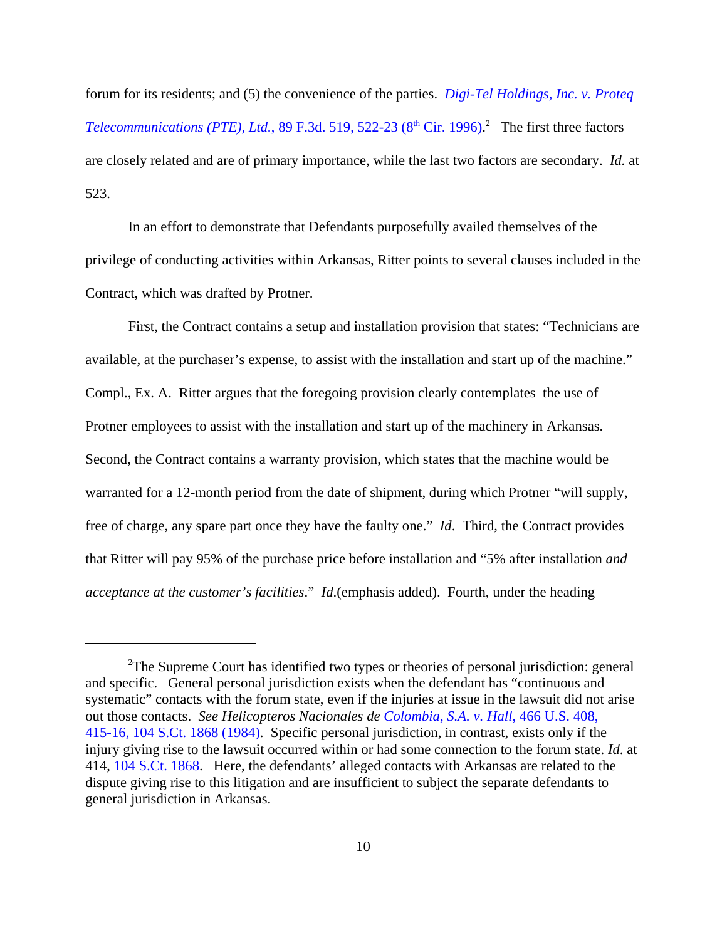forum for its residents; and (5) the convenience of the parties. *Digi-Tel Holdings, Inc. v. Proteq Telecommunications (PTE), Ltd.*, 89 F.3d. 519, 522-23 ( $8<sup>th</sup> Cir.$  1996).<sup>2</sup> The first three factors are closely related and are of primary importance, while the last two factors are secondary. *Id.* at 523.

In an effort to demonstrate that Defendants purposefully availed themselves of the privilege of conducting activities within Arkansas, Ritter points to several clauses included in the Contract, which was drafted by Protner.

First, the Contract contains a setup and installation provision that states: "Technicians are available, at the purchaser's expense, to assist with the installation and start up of the machine." Compl., Ex. A. Ritter argues that the foregoing provision clearly contemplates the use of Protner employees to assist with the installation and start up of the machinery in Arkansas. Second, the Contract contains a warranty provision, which states that the machine would be warranted for a 12-month period from the date of shipment, during which Protner "will supply, free of charge, any spare part once they have the faulty one." *Id*. Third, the Contract provides that Ritter will pay 95% of the purchase price before installation and "5% after installation *and acceptance at the customer's facilities*." *Id*.(emphasis added). Fourth, under the heading

<sup>&</sup>lt;sup>2</sup>The Supreme Court has identified two types or theories of personal jurisdiction: general and specific. General personal jurisdiction exists when the defendant has "continuous and systematic" contacts with the forum state, even if the injuries at issue in the lawsuit did not arise out those contacts. *See Helicopteros Nacionales de Colombia, S.A. v. Hall*, 466 U.S. 408, 415-16, 104 S.Ct. 1868 (1984). Specific personal jurisdiction, in contrast, exists only if the injury giving rise to the lawsuit occurred within or had some connection to the forum state. *Id*. at 414, 104 S.Ct. 1868. Here, the defendants' alleged contacts with Arkansas are related to the dispute giving rise to this litigation and are insufficient to subject the separate defendants to general jurisdiction in Arkansas.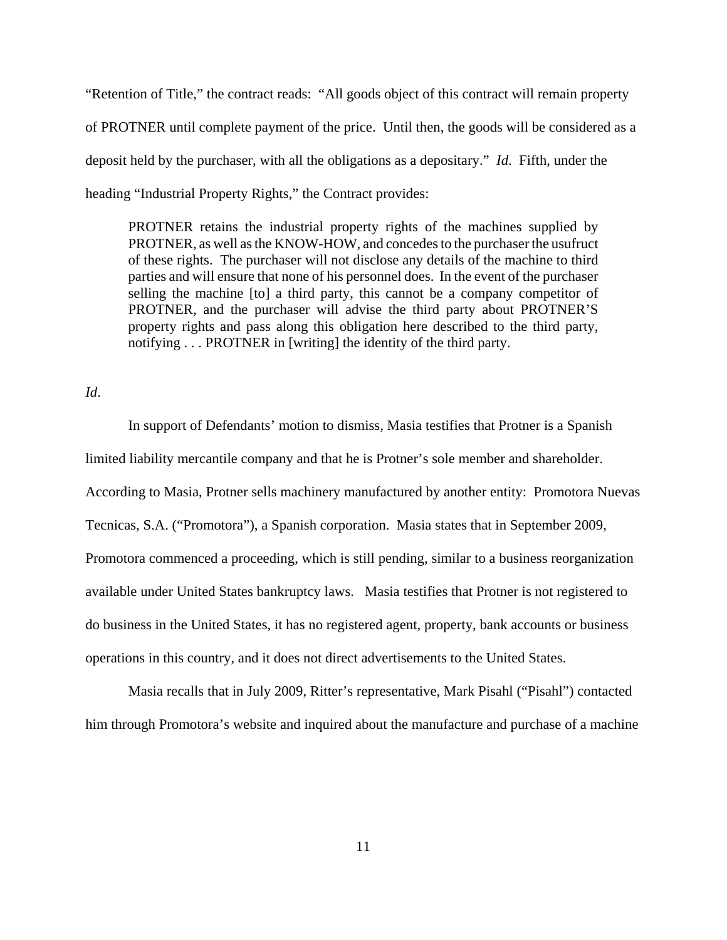"Retention of Title," the contract reads: "All goods object of this contract will remain property of PROTNER until complete payment of the price. Until then, the goods will be considered as a deposit held by the purchaser, with all the obligations as a depositary." *Id*. Fifth, under the heading "Industrial Property Rights," the Contract provides:

PROTNER retains the industrial property rights of the machines supplied by PROTNER, as well as the KNOW-HOW, and concedes to the purchaser the usufruct of these rights. The purchaser will not disclose any details of the machine to third parties and will ensure that none of his personnel does. In the event of the purchaser selling the machine [to] a third party, this cannot be a company competitor of PROTNER, and the purchaser will advise the third party about PROTNER'S property rights and pass along this obligation here described to the third party, notifying . . . PROTNER in [writing] the identity of the third party.

*Id*.

In support of Defendants' motion to dismiss, Masia testifies that Protner is a Spanish limited liability mercantile company and that he is Protner's sole member and shareholder. According to Masia, Protner sells machinery manufactured by another entity: Promotora Nuevas Tecnicas, S.A. ("Promotora"), a Spanish corporation. Masia states that in September 2009, Promotora commenced a proceeding, which is still pending, similar to a business reorganization available under United States bankruptcy laws. Masia testifies that Protner is not registered to do business in the United States, it has no registered agent, property, bank accounts or business operations in this country, and it does not direct advertisements to the United States.

Masia recalls that in July 2009, Ritter's representative, Mark Pisahl ("Pisahl") contacted him through Promotora's website and inquired about the manufacture and purchase of a machine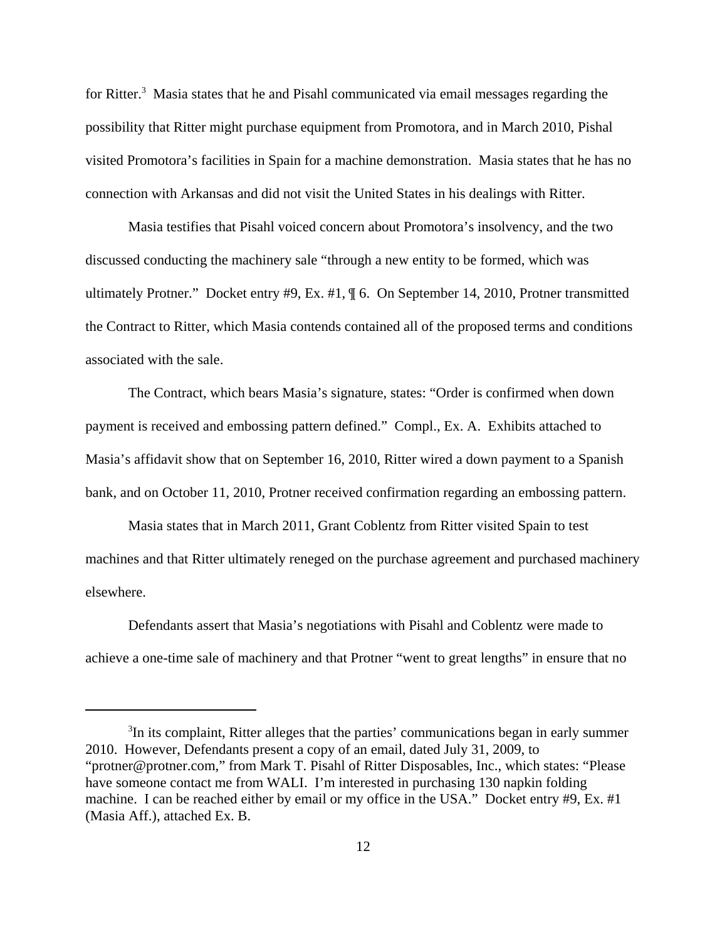for Ritter.<sup>3</sup> Masia states that he and Pisahl communicated via email messages regarding the possibility that Ritter might purchase equipment from Promotora, and in March 2010, Pishal visited Promotora's facilities in Spain for a machine demonstration. Masia states that he has no connection with Arkansas and did not visit the United States in his dealings with Ritter.

Masia testifies that Pisahl voiced concern about Promotora's insolvency, and the two discussed conducting the machinery sale "through a new entity to be formed, which was ultimately Protner." Docket entry #9, Ex. #1, ¶ 6. On September 14, 2010, Protner transmitted the Contract to Ritter, which Masia contends contained all of the proposed terms and conditions associated with the sale.

The Contract, which bears Masia's signature, states: "Order is confirmed when down payment is received and embossing pattern defined." Compl., Ex. A. Exhibits attached to Masia's affidavit show that on September 16, 2010, Ritter wired a down payment to a Spanish bank, and on October 11, 2010, Protner received confirmation regarding an embossing pattern.

Masia states that in March 2011, Grant Coblentz from Ritter visited Spain to test machines and that Ritter ultimately reneged on the purchase agreement and purchased machinery elsewhere.

Defendants assert that Masia's negotiations with Pisahl and Coblentz were made to achieve a one-time sale of machinery and that Protner "went to great lengths" in ensure that no

<sup>&</sup>lt;sup>3</sup>In its complaint, Ritter alleges that the parties' communications began in early summer 2010. However, Defendants present a copy of an email, dated July 31, 2009, to "protner@protner.com," from Mark T. Pisahl of Ritter Disposables, Inc., which states: "Please have someone contact me from WALI. I'm interested in purchasing 130 napkin folding machine. I can be reached either by email or my office in the USA." Docket entry #9, Ex. #1 (Masia Aff.), attached Ex. B.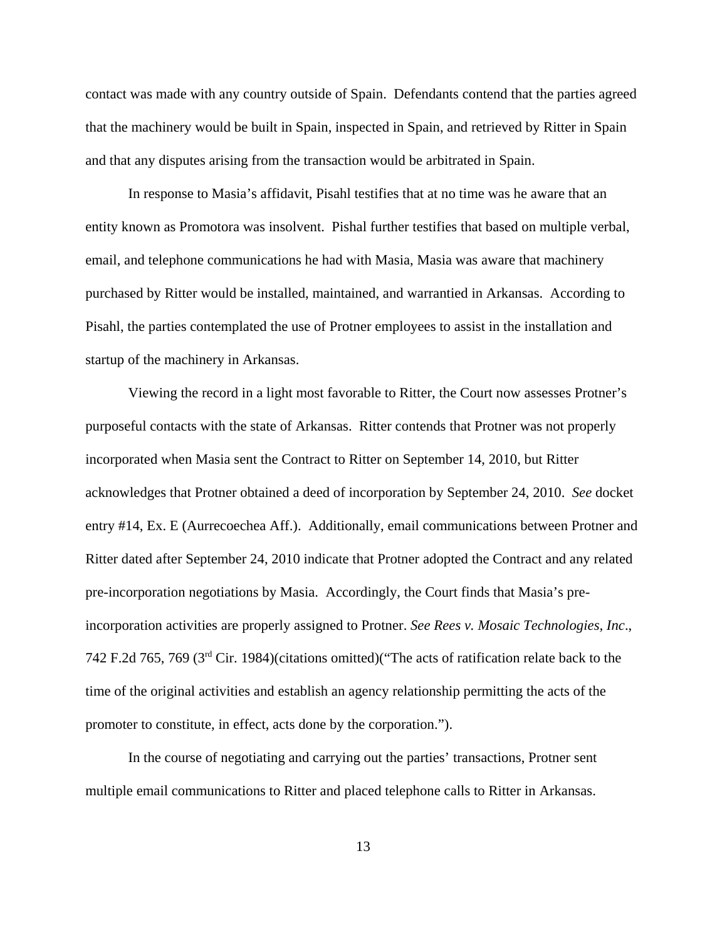contact was made with any country outside of Spain. Defendants contend that the parties agreed that the machinery would be built in Spain, inspected in Spain, and retrieved by Ritter in Spain and that any disputes arising from the transaction would be arbitrated in Spain.

In response to Masia's affidavit, Pisahl testifies that at no time was he aware that an entity known as Promotora was insolvent. Pishal further testifies that based on multiple verbal, email, and telephone communications he had with Masia, Masia was aware that machinery purchased by Ritter would be installed, maintained, and warrantied in Arkansas. According to Pisahl, the parties contemplated the use of Protner employees to assist in the installation and startup of the machinery in Arkansas.

Viewing the record in a light most favorable to Ritter, the Court now assesses Protner's purposeful contacts with the state of Arkansas. Ritter contends that Protner was not properly incorporated when Masia sent the Contract to Ritter on September 14, 2010, but Ritter acknowledges that Protner obtained a deed of incorporation by September 24, 2010. *See* docket entry #14, Ex. E (Aurrecoechea Aff.). Additionally, email communications between Protner and Ritter dated after September 24, 2010 indicate that Protner adopted the Contract and any related pre-incorporation negotiations by Masia. Accordingly, the Court finds that Masia's preincorporation activities are properly assigned to Protner. *See Rees v. Mosaic Technologies, Inc*., 742 F.2d 765, 769 (3rd Cir. 1984)(citations omitted)("The acts of ratification relate back to the time of the original activities and establish an agency relationship permitting the acts of the promoter to constitute, in effect, acts done by the corporation.").

In the course of negotiating and carrying out the parties' transactions, Protner sent multiple email communications to Ritter and placed telephone calls to Ritter in Arkansas.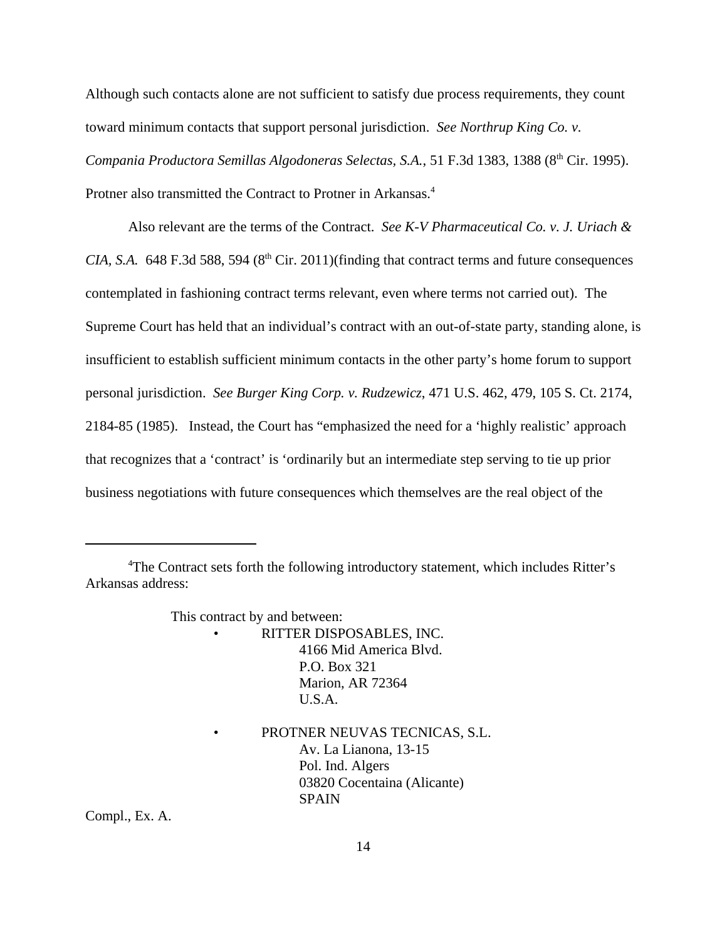Although such contacts alone are not sufficient to satisfy due process requirements, they count toward minimum contacts that support personal jurisdiction. *See Northrup King Co. v. Compania Productora Semillas Algodoneras Selectas, S.A.*, 51 F.3d 1383, 1388 (8<sup>th</sup> Cir. 1995). Protner also transmitted the Contract to Protner in Arkansas.<sup>4</sup>

Also relevant are the terms of the Contract. *See K-V Pharmaceutical Co. v. J. Uriach & CIA, S.A.* 648 F.3d 588, 594 ( $8<sup>th</sup>$  Cir. 2011)(finding that contract terms and future consequences contemplated in fashioning contract terms relevant, even where terms not carried out). The Supreme Court has held that an individual's contract with an out-of-state party, standing alone, is insufficient to establish sufficient minimum contacts in the other party's home forum to support personal jurisdiction. *See Burger King Corp. v. Rudzewicz*, 471 U.S. 462, 479, 105 S. Ct. 2174, 2184-85 (1985). Instead, the Court has "emphasized the need for a 'highly realistic' approach that recognizes that a 'contract' is 'ordinarily but an intermediate step serving to tie up prior business negotiations with future consequences which themselves are the real object of the

This contract by and between:

- RITTER DISPOSABLES, INC. 4166 Mid America Blvd. P.O. Box 321 Marion, AR 72364 U.S.A.
	- PROTNER NEUVAS TECNICAS, S.L. Av. La Lianona, 13-15 Pol. Ind. Algers 03820 Cocentaina (Alicante) SPAIN

Compl., Ex. A.

<sup>&</sup>lt;sup>4</sup>The Contract sets forth the following introductory statement, which includes Ritter's Arkansas address: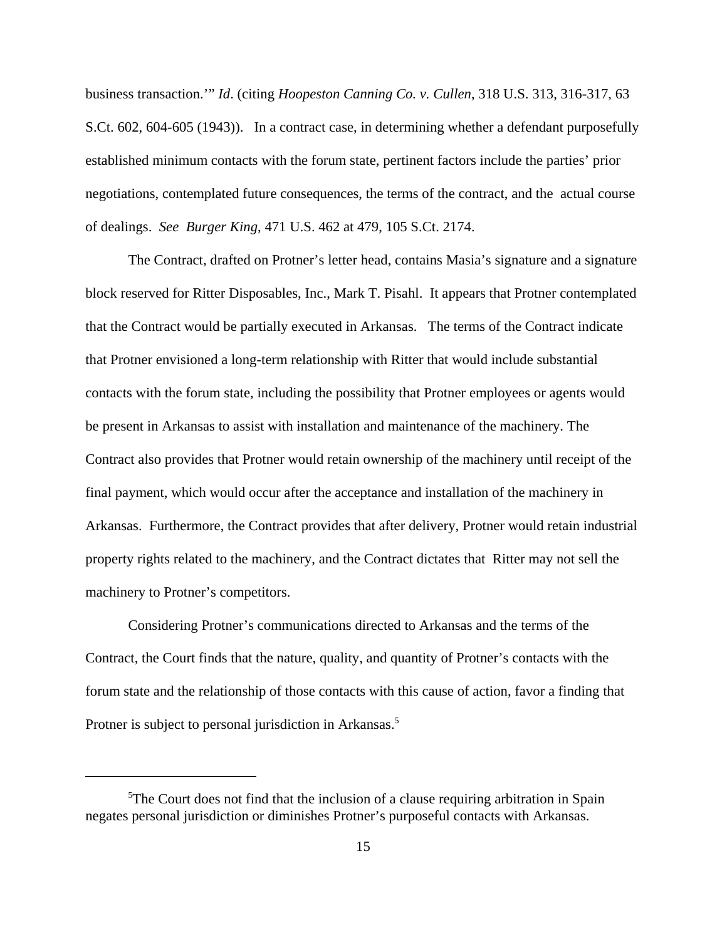business transaction.'" *Id*. (citing *Hoopeston Canning Co. v. Cullen*, 318 U.S. 313, 316-317, 63 S.Ct. 602, 604-605 (1943)). In a contract case, in determining whether a defendant purposefully established minimum contacts with the forum state, pertinent factors include the parties' prior negotiations, contemplated future consequences, the terms of the contract, and the actual course of dealings. *See Burger King*, 471 U.S. 462 at 479, 105 S.Ct. 2174.

The Contract, drafted on Protner's letter head, contains Masia's signature and a signature block reserved for Ritter Disposables, Inc., Mark T. Pisahl. It appears that Protner contemplated that the Contract would be partially executed in Arkansas. The terms of the Contract indicate that Protner envisioned a long-term relationship with Ritter that would include substantial contacts with the forum state, including the possibility that Protner employees or agents would be present in Arkansas to assist with installation and maintenance of the machinery. The Contract also provides that Protner would retain ownership of the machinery until receipt of the final payment, which would occur after the acceptance and installation of the machinery in Arkansas. Furthermore, the Contract provides that after delivery, Protner would retain industrial property rights related to the machinery, and the Contract dictates that Ritter may not sell the machinery to Protner's competitors.

Considering Protner's communications directed to Arkansas and the terms of the Contract, the Court finds that the nature, quality, and quantity of Protner's contacts with the forum state and the relationship of those contacts with this cause of action, favor a finding that Protner is subject to personal jurisdiction in Arkansas.<sup>5</sup>

 $5$ The Court does not find that the inclusion of a clause requiring arbitration in Spain negates personal jurisdiction or diminishes Protner's purposeful contacts with Arkansas.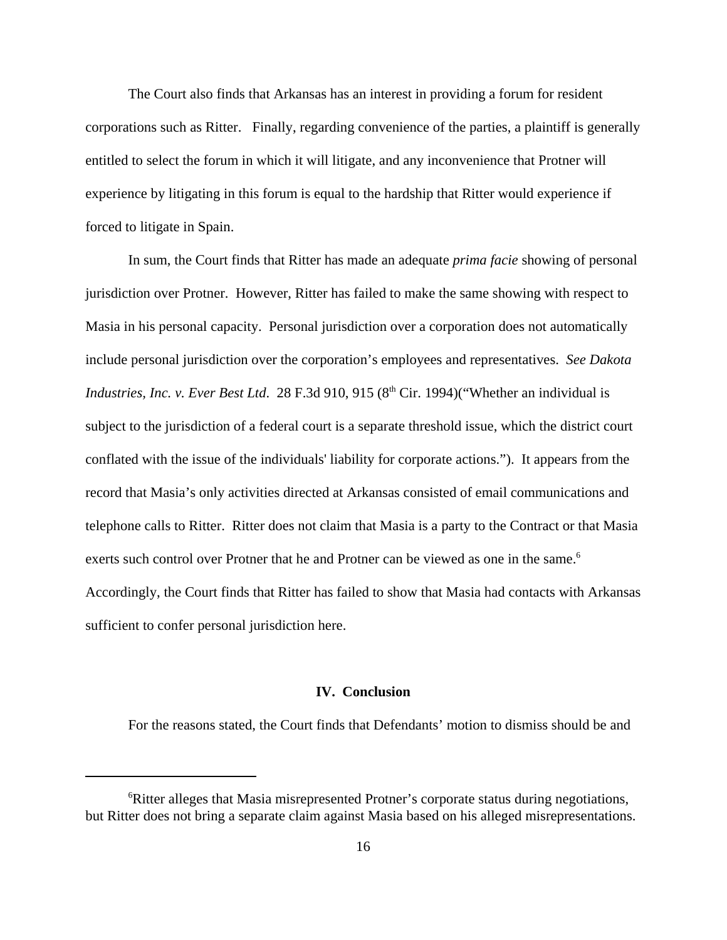The Court also finds that Arkansas has an interest in providing a forum for resident corporations such as Ritter. Finally, regarding convenience of the parties, a plaintiff is generally entitled to select the forum in which it will litigate, and any inconvenience that Protner will experience by litigating in this forum is equal to the hardship that Ritter would experience if forced to litigate in Spain.

In sum, the Court finds that Ritter has made an adequate *prima facie* showing of personal jurisdiction over Protner. However, Ritter has failed to make the same showing with respect to Masia in his personal capacity. Personal jurisdiction over a corporation does not automatically include personal jurisdiction over the corporation's employees and representatives. *See Dakota Industries, Inc. v. Ever Best Ltd.* 28 F.3d 910, 915 (8<sup>th</sup> Cir. 1994)("Whether an individual is subject to the jurisdiction of a federal court is a separate threshold issue, which the district court conflated with the issue of the individuals' liability for corporate actions."). It appears from the record that Masia's only activities directed at Arkansas consisted of email communications and telephone calls to Ritter. Ritter does not claim that Masia is a party to the Contract or that Masia exerts such control over Protner that he and Protner can be viewed as one in the same.<sup>6</sup> Accordingly, the Court finds that Ritter has failed to show that Masia had contacts with Arkansas sufficient to confer personal jurisdiction here.

### **IV. Conclusion**

For the reasons stated, the Court finds that Defendants' motion to dismiss should be and

<sup>6</sup>Ritter alleges that Masia misrepresented Protner's corporate status during negotiations, but Ritter does not bring a separate claim against Masia based on his alleged misrepresentations.